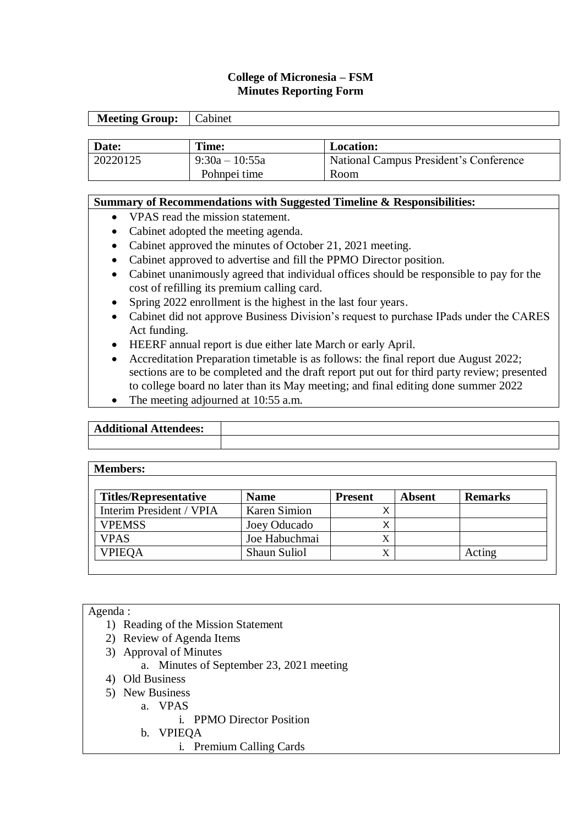### **College of Micronesia – FSM Minutes Reporting Form**

| <b>Meeting Group:</b> | Cabinet          |                                        |
|-----------------------|------------------|----------------------------------------|
|                       |                  |                                        |
| Date:                 | Time:            | <b>Location:</b>                       |
| 20220125              | $9:30a - 10:55a$ | National Campus President's Conference |
|                       | Pohnpei time     | Room                                   |

#### **Summary of Recommendations with Suggested Timeline & Responsibilities:**

- VPAS read the mission statement.
- Cabinet adopted the meeting agenda.
- Cabinet approved the minutes of October 21, 2021 meeting.
- Cabinet approved to advertise and fill the PPMO Director position.
- Cabinet unanimously agreed that individual offices should be responsible to pay for the cost of refilling its premium calling card.
- Spring 2022 enrollment is the highest in the last four years.
- Cabinet did not approve Business Division's request to purchase IPads under the CARES Act funding.
- HEERF annual report is due either late March or early April.
- Accreditation Preparation timetable is as follows: the final report due August 2022; sections are to be completed and the draft report put out for third party review; presented to college board no later than its May meeting; and final editing done summer 2022
- The meeting adjourned at 10:55 a.m.

| 'ditional .<br>dees:<br>Ac<br>-Atten |  |
|--------------------------------------|--|
|                                      |  |

#### **Members:**

| <b>Titles/Representative</b> | <b>Name</b>         | <b>Present</b> | Absent | <b>Remarks</b> |
|------------------------------|---------------------|----------------|--------|----------------|
| Interim President / VPIA     | Karen Simion        |                |        |                |
| <b>VPEMSS</b>                | Joey Oducado        |                |        |                |
| <b>VPAS</b>                  | Joe Habuchmai       |                |        |                |
| <b>VPIEOA</b>                | <b>Shaun Suliol</b> | $\Lambda$      |        | Acting         |

#### Agenda :

- 1) Reading of the Mission Statement
- 2) Review of Agenda Items
- 3) Approval of Minutes
	- a. Minutes of September 23, 2021 meeting
- 4) Old Business
- 5) New Business
	- a. VPAS
		- i. PPMO Director Position
	- b. VPIEQA
		- i. Premium Calling Cards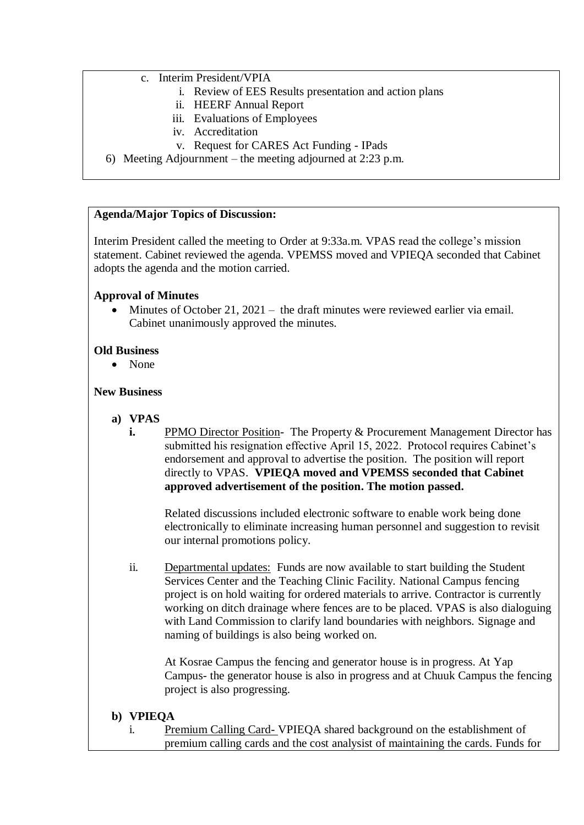#### c. Interim President/VPIA

- i. Review of EES Results presentation and action plans
- ii. HEERF Annual Report
- iii. Evaluations of Employees
- iv. Accreditation
- v. Request for CARES Act Funding IPads
- 6) Meeting Adjournment the meeting adjourned at 2:23 p.m.

#### **Agenda/Major Topics of Discussion:**

Interim President called the meeting to Order at 9:33a.m. VPAS read the college's mission statement. Cabinet reviewed the agenda. VPEMSS moved and VPIEQA seconded that Cabinet adopts the agenda and the motion carried.

#### **Approval of Minutes**

• Minutes of October 21, 2021 – the draft minutes were reviewed earlier via email. Cabinet unanimously approved the minutes.

#### **Old Business**

None

#### **New Business**

- **a) VPAS**
	- **i.** PPMO Director Position- The Property & Procurement Management Director has submitted his resignation effective April 15, 2022. Protocol requires Cabinet's endorsement and approval to advertise the position. The position will report directly to VPAS. **VPIEQA moved and VPEMSS seconded that Cabinet approved advertisement of the position. The motion passed.**

Related discussions included electronic software to enable work being done electronically to eliminate increasing human personnel and suggestion to revisit our internal promotions policy.

ii. Departmental updates:Funds are now available to start building the Student Services Center and the Teaching Clinic Facility. National Campus fencing project is on hold waiting for ordered materials to arrive. Contractor is currently working on ditch drainage where fences are to be placed. VPAS is also dialoguing with Land Commission to clarify land boundaries with neighbors. Signage and naming of buildings is also being worked on.

At Kosrae Campus the fencing and generator house is in progress. At Yap Campus- the generator house is also in progress and at Chuuk Campus the fencing project is also progressing.

#### **b) VPIEQA**

i. Premium Calling Card- VPIEQA shared background on the establishment of premium calling cards and the cost analysist of maintaining the cards. Funds for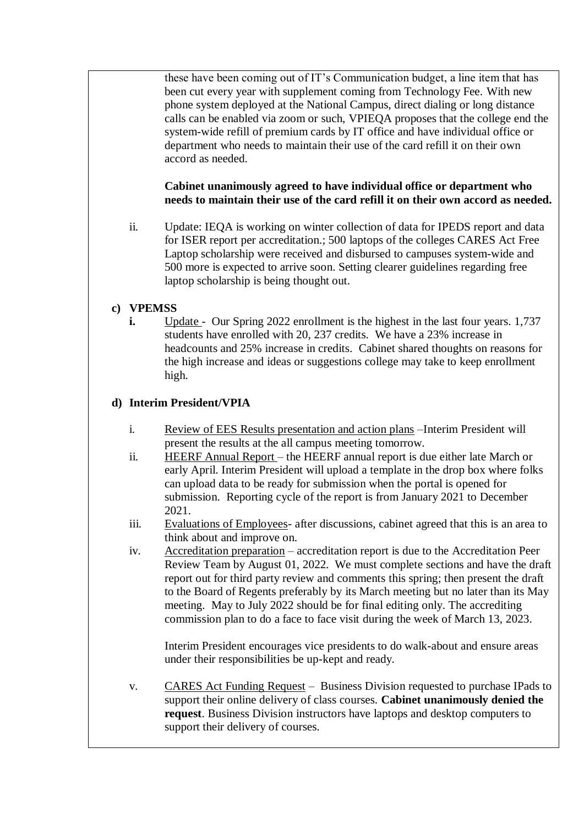these have been coming out of IT's Communication budget, a line item that has been cut every year with supplement coming from Technology Fee. With new phone system deployed at the National Campus, direct dialing or long distance calls can be enabled via zoom or such, VPIEQA proposes that the college end the system-wide refill of premium cards by IT office and have individual office or department who needs to maintain their use of the card refill it on their own accord as needed.

## **Cabinet unanimously agreed to have individual office or department who needs to maintain their use of the card refill it on their own accord as needed.**

ii. Update: IEQA is working on winter collection of data for IPEDS report and data for ISER report per accreditation.; 500 laptops of the colleges CARES Act Free Laptop scholarship were received and disbursed to campuses system-wide and 500 more is expected to arrive soon. Setting clearer guidelines regarding free laptop scholarship is being thought out.

## **c) VPEMSS**

**i.** Update - Our Spring 2022 enrollment is the highest in the last four years. 1,737 students have enrolled with 20, 237 credits. We have a 23% increase in headcounts and 25% increase in credits. Cabinet shared thoughts on reasons for the high increase and ideas or suggestions college may take to keep enrollment high.

## **d) Interim President/VPIA**

- i. Review of EES Results presentation and action plans –Interim President will present the results at the all campus meeting tomorrow.
- ii. HEERF Annual Report the HEERF annual report is due either late March or early April. Interim President will upload a template in the drop box where folks can upload data to be ready for submission when the portal is opened for submission. Reporting cycle of the report is from January 2021 to December 2021.
- iii. Evaluations of Employees- after discussions, cabinet agreed that this is an area to think about and improve on.
- iv. Accreditation preparation accreditation report is due to the Accreditation Peer Review Team by August 01, 2022. We must complete sections and have the draft report out for third party review and comments this spring; then present the draft to the Board of Regents preferably by its March meeting but no later than its May meeting. May to July 2022 should be for final editing only. The accrediting commission plan to do a face to face visit during the week of March 13, 2023.

Interim President encourages vice presidents to do walk-about and ensure areas under their responsibilities be up-kept and ready.

v. CARES Act Funding Request – Business Division requested to purchase IPads to support their online delivery of class courses. **Cabinet unanimously denied the request**. Business Division instructors have laptops and desktop computers to support their delivery of courses.